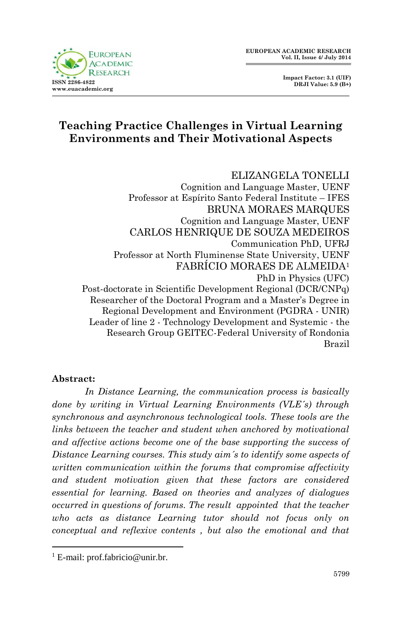**Impact Factor: 3.1 (UIF) DRJI Value: 5.9 (B+)**

# **Teaching Practice Challenges in Virtual Learning Environments and Their Motivational Aspects**

ELIZANGELA TONELLI Cognition and Language Master, UENF Professor at Espírito Santo Federal Institute – IFES BRUNA MORAES MARQUES Cognition and Language Master, UENF CARLOS HENRIQUE DE SOUZA MEDEIROS Communication PhD, UFRJ Professor at North Fluminense State University, UENF FABRÍCIO MORAES DE ALMEIDA<sup>1</sup> PhD in Physics (UFC) Post-doctorate in Scientific Development Regional (DCR/CNPq) Researcher of the Doctoral Program and a Master's Degree in Regional Development and Environment (PGDRA - UNIR) Leader of line 2 - Technology Development and Systemic - the Research Group GEITEC-Federal University of Rondonia Brazil

#### **Abstract:**

**.** 

*In Distance Learning, the communication process is basically done by writing in Virtual Learning Environments (VLE´s) through synchronous and asynchronous technological tools. These tools are the links between the teacher and student when anchored by motivational and affective actions become one of the base supporting the success of Distance Learning courses. This study aim´s to identify some aspects of written communication within the forums that compromise affectivity and student motivation given that these factors are considered essential for learning. Based on theories and analyzes of dialogues occurred in questions of forums. The result appointed that the teacher who acts as distance Learning tutor should not focus only on conceptual and reflexive contents , but also the emotional and that* 

<sup>1</sup> E-mail: prof.fabricio@unir.br.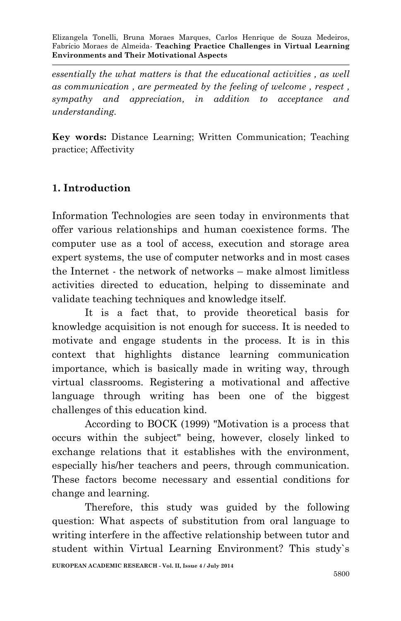*essentially the what matters is that the educational activities , as well as communication , are permeated by the feeling of welcome , respect , sympathy and appreciation, in addition to acceptance and understanding.*

**Key words:** Distance Learning; Written Communication; Teaching practice; Affectivity

# **1. Introduction**

Information Technologies are seen today in environments that offer various relationships and human coexistence forms. The computer use as a tool of access, execution and storage area expert systems, the use of computer networks and in most cases the Internet - the network of networks – make almost limitless activities directed to education, helping to disseminate and validate teaching techniques and knowledge itself.

It is a fact that, to provide theoretical basis for knowledge acquisition is not enough for success. It is needed to motivate and engage students in the process. It is in this context that highlights distance learning communication importance, which is basically made in writing way, through virtual classrooms. Registering a motivational and affective language through writing has been one of the biggest challenges of this education kind.

According to BOCK (1999) "Motivation is a process that occurs within the subject" being, however, closely linked to exchange relations that it establishes with the environment, especially his/her teachers and peers, through communication. These factors become necessary and essential conditions for change and learning.

Therefore, this study was guided by the following question: What aspects of substitution from oral language to writing interfere in the affective relationship between tutor and student within Virtual Learning Environment? This study`s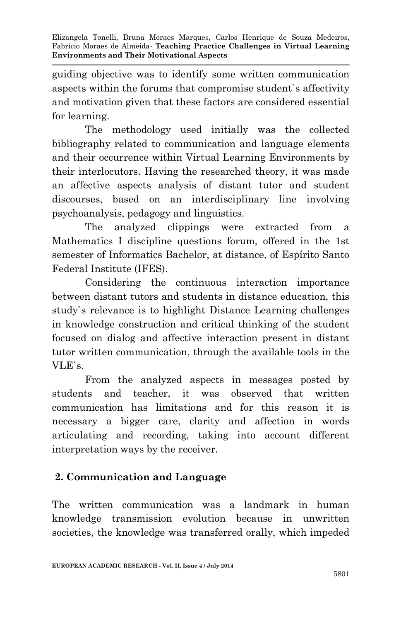guiding objective was to identify some written communication aspects within the forums that compromise student`s affectivity and motivation given that these factors are considered essential for learning.

The methodology used initially was the collected bibliography related to communication and language elements and their occurrence within Virtual Learning Environments by their interlocutors. Having the researched theory, it was made an affective aspects analysis of distant tutor and student discourses, based on an interdisciplinary line involving psychoanalysis, pedagogy and linguistics.

The analyzed clippings were extracted from a Mathematics I discipline questions forum, offered in the 1st semester of Informatics Bachelor, at distance, of Espírito Santo Federal Institute (IFES).

Considering the continuous interaction importance between distant tutors and students in distance education, this study`s relevance is to highlight Distance Learning challenges in knowledge construction and critical thinking of the student focused on dialog and affective interaction present in distant tutor written communication, through the available tools in the VLE`s.

From the analyzed aspects in messages posted by students and teacher, it was observed that written communication has limitations and for this reason it is necessary a bigger care, clarity and affection in words articulating and recording, taking into account different interpretation ways by the receiver.

## **2. Communication and Language**

The written communication was a landmark in human knowledge transmission evolution because in unwritten societies, the knowledge was transferred orally, which impeded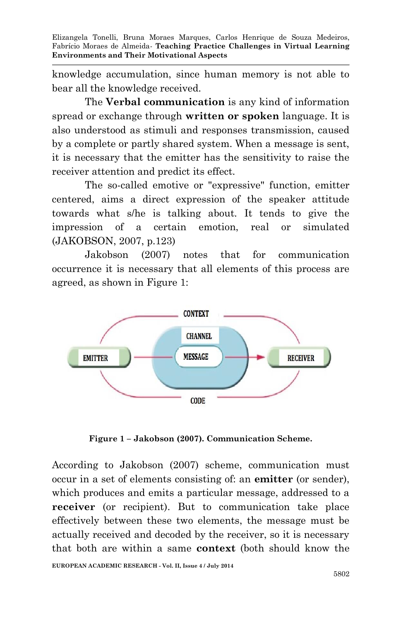knowledge accumulation, since human memory is not able to bear all the knowledge received.

The **Verbal communication** is any kind of information spread or exchange through **written or spoken** language. It is also understood as stimuli and responses transmission, caused by a complete or partly shared system. When a message is sent, it is necessary that the emitter has the sensitivity to raise the receiver attention and predict its effect.

The so-called emotive or "expressive" function, emitter centered, aims a direct expression of the speaker attitude towards what s/he is talking about. It tends to give the impression of a certain emotion, real or simulated (JAKOBSON, 2007, p.123)

Jakobson (2007) notes that for communication occurrence it is necessary that all elements of this process are agreed, as shown in Figure 1:



**Figure 1 – Jakobson (2007). Communication Scheme.**

According to Jakobson (2007) scheme, communication must occur in a set of elements consisting of: an **emitter** (or sender), which produces and emits a particular message, addressed to a **receiver** (or recipient). But to communication take place effectively between these two elements, the message must be actually received and decoded by the receiver, so it is necessary that both are within a same **context** (both should know the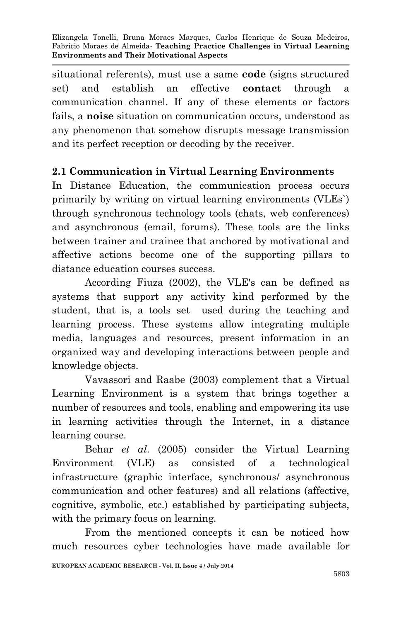situational referents), must use a same **code** (signs structured set) and establish an effective **contact** through a communication channel. If any of these elements or factors fails, a **noise** situation on communication occurs, understood as any phenomenon that somehow disrupts message transmission and its perfect reception or decoding by the receiver.

### **2.1 Communication in Virtual Learning Environments**

In Distance Education, the communication process occurs primarily by writing on virtual learning environments (VLEs`) through synchronous technology tools (chats, web conferences) and asynchronous (email, forums). These tools are the links between trainer and trainee that anchored by motivational and affective actions become one of the supporting pillars to distance education courses success.

According Fiuza (2002), the VLE's can be defined as systems that support any activity kind performed by the student, that is, a tools set used during the teaching and learning process. These systems allow integrating multiple media, languages and resources, present information in an organized way and developing interactions between people and knowledge objects.

Vavassori and Raabe (2003) complement that a Virtual Learning Environment is a system that brings together a number of resources and tools, enabling and empowering its use in learning activities through the Internet, in a distance learning course.

Behar *et al*. (2005) consider the Virtual Learning Environment (VLE) as consisted of a technological infrastructure (graphic interface, synchronous/ asynchronous communication and other features) and all relations (affective, cognitive, symbolic, etc.) established by participating subjects, with the primary focus on learning.

From the mentioned concepts it can be noticed how much resources cyber technologies have made available for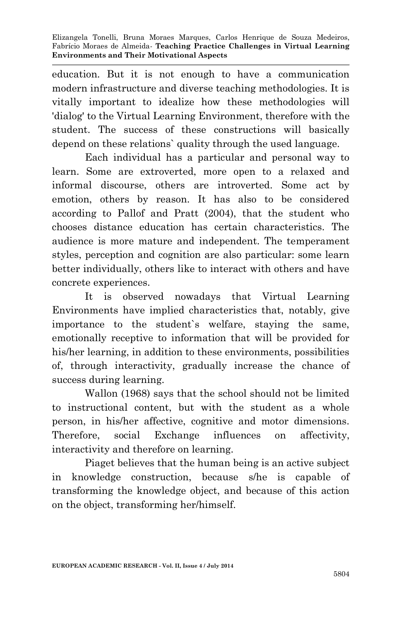education. But it is not enough to have a communication modern infrastructure and diverse teaching methodologies. It is vitally important to idealize how these methodologies will 'dialog' to the Virtual Learning Environment, therefore with the student. The success of these constructions will basically depend on these relations` quality through the used language.

Each individual has a particular and personal way to learn. Some are extroverted, more open to a relaxed and informal discourse, others are introverted. Some act by emotion, others by reason. It has also to be considered according to Pallof and Pratt (2004), that the student who chooses distance education has certain characteristics. The audience is more mature and independent. The temperament styles, perception and cognition are also particular: some learn better individually, others like to interact with others and have concrete experiences.

It is observed nowadays that Virtual Learning Environments have implied characteristics that, notably, give importance to the student`s welfare, staying the same, emotionally receptive to information that will be provided for his/her learning, in addition to these environments, possibilities of, through interactivity, gradually increase the chance of success during learning.

Wallon (1968) says that the school should not be limited to instructional content, but with the student as a whole person, in his/her affective, cognitive and motor dimensions. Therefore, social Exchange influences on affectivity, interactivity and therefore on learning.

Piaget believes that the human being is an active subject in knowledge construction, because s/he is capable of transforming the knowledge object, and because of this action on the object, transforming her/himself.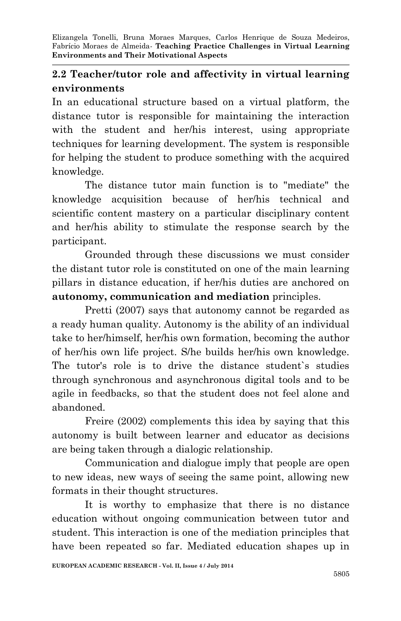# **2.2 Teacher/tutor role and affectivity in virtual learning environments**

In an educational structure based on a virtual platform, the distance tutor is responsible for maintaining the interaction with the student and her/his interest, using appropriate techniques for learning development. The system is responsible for helping the student to produce something with the acquired knowledge.

The distance tutor main function is to "mediate" the knowledge acquisition because of her/his technical and scientific content mastery on a particular disciplinary content and her/his ability to stimulate the response search by the participant.

Grounded through these discussions we must consider the distant tutor role is constituted on one of the main learning pillars in distance education, if her/his duties are anchored on **autonomy, communication and mediation** principles.

Pretti (2007) says that autonomy cannot be regarded as a ready human quality. Autonomy is the ability of an individual take to her/himself, her/his own formation, becoming the author of her/his own life project. S/he builds her/his own knowledge. The tutor's role is to drive the distance student`s studies through synchronous and asynchronous digital tools and to be agile in feedbacks, so that the student does not feel alone and abandoned.

Freire (2002) complements this idea by saying that this autonomy is built between learner and educator as decisions are being taken through a dialogic relationship.

Communication and dialogue imply that people are open to new ideas, new ways of seeing the same point, allowing new formats in their thought structures.

It is worthy to emphasize that there is no distance education without ongoing communication between tutor and student. This interaction is one of the mediation principles that have been repeated so far. Mediated education shapes up in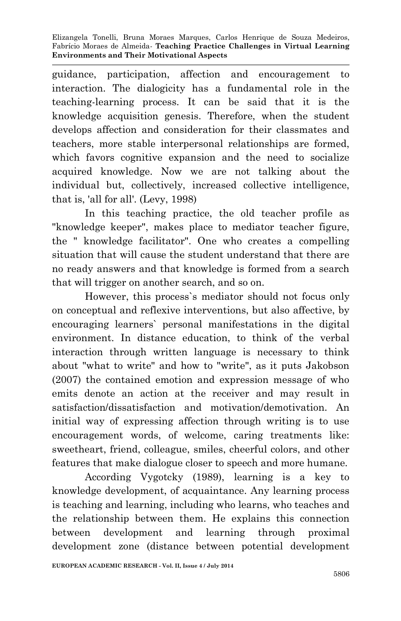guidance, participation, affection and encouragement to interaction. The dialogicity has a fundamental role in the teaching-learning process. It can be said that it is the knowledge acquisition genesis. Therefore, when the student develops affection and consideration for their classmates and teachers, more stable interpersonal relationships are formed, which favors cognitive expansion and the need to socialize acquired knowledge. Now we are not talking about the individual but, collectively, increased collective intelligence, that is, 'all for all'. (Levy, 1998)

In this teaching practice, the old teacher profile as "knowledge keeper", makes place to mediator teacher figure, the " knowledge facilitator". One who creates a compelling situation that will cause the student understand that there are no ready answers and that knowledge is formed from a search that will trigger on another search, and so on.

However, this process`s mediator should not focus only on conceptual and reflexive interventions, but also affective, by encouraging learners` personal manifestations in the digital environment. In distance education, to think of the verbal interaction through written language is necessary to think about "what to write" and how to "write", as it puts Jakobson (2007) the contained emotion and expression message of who emits denote an action at the receiver and may result in satisfaction/dissatisfaction and motivation/demotivation. An initial way of expressing affection through writing is to use encouragement words, of welcome, caring treatments like: sweetheart, friend, colleague, smiles, cheerful colors, and other features that make dialogue closer to speech and more humane.

According Vygotcky (1989), learning is a key to knowledge development, of acquaintance. Any learning process is teaching and learning, including who learns, who teaches and the relationship between them. He explains this connection between development and learning through proximal development zone (distance between potential development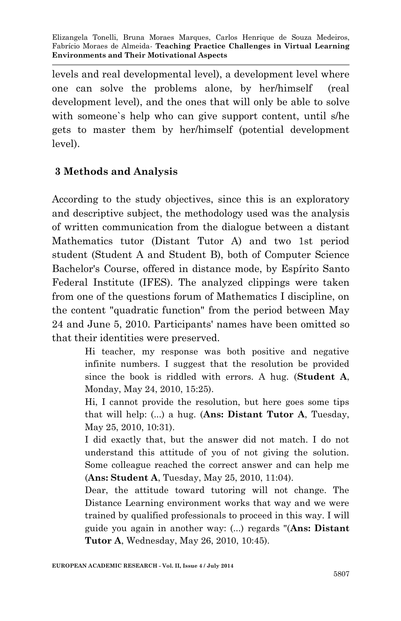levels and real developmental level), a development level where one can solve the problems alone, by her/himself (real development level), and the ones that will only be able to solve with someone`s help who can give support content, until s/he gets to master them by her/himself (potential development level).

### **3 Methods and Analysis**

According to the study objectives, since this is an exploratory and descriptive subject, the methodology used was the analysis of written communication from the dialogue between a distant Mathematics tutor (Distant Tutor A) and two 1st period student (Student A and Student B), both of Computer Science Bachelor's Course, offered in distance mode, by Espírito Santo Federal Institute (IFES). The analyzed clippings were taken from one of the questions forum of Mathematics I discipline, on the content "quadratic function" from the period between May 24 and June 5, 2010. Participants' names have been omitted so that their identities were preserved.

> Hi teacher, my response was both positive and negative infinite numbers. I suggest that the resolution be provided since the book is riddled with errors. A hug. (**Student A**, Monday, May 24, 2010, 15:25).

> Hi, I cannot provide the resolution, but here goes some tips that will help: (...) a hug. (**Ans: Distant Tutor A**, Tuesday, May 25, 2010, 10:31).

> I did exactly that, but the answer did not match. I do not understand this attitude of you of not giving the solution. Some colleague reached the correct answer and can help me (**Ans: Student A**, Tuesday, May 25, 2010, 11:04).

> Dear, the attitude toward tutoring will not change. The Distance Learning environment works that way and we were trained by qualified professionals to proceed in this way. I will guide you again in another way: (...) regards "(**Ans: Distant Tutor A**, Wednesday, May 26, 2010, 10:45).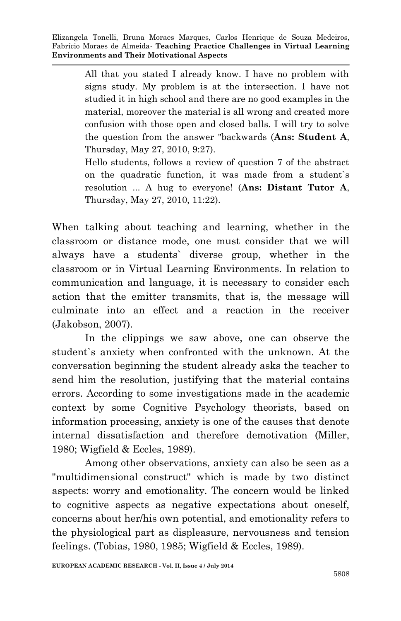All that you stated I already know. I have no problem with signs study. My problem is at the intersection. I have not studied it in high school and there are no good examples in the material, moreover the material is all wrong and created more confusion with those open and closed balls. I will try to solve the question from the answer "backwards (**Ans: Student A**, Thursday, May 27, 2010, 9:27).

Hello students, follows a review of question 7 of the abstract on the quadratic function, it was made from a student`s resolution ... A hug to everyone! (**Ans: Distant Tutor A**, Thursday, May 27, 2010, 11:22).

When talking about teaching and learning, whether in the classroom or distance mode, one must consider that we will always have a students` diverse group, whether in the classroom or in Virtual Learning Environments. In relation to communication and language, it is necessary to consider each action that the emitter transmits, that is, the message will culminate into an effect and a reaction in the receiver (Jakobson, 2007).

In the clippings we saw above, one can observe the student`s anxiety when confronted with the unknown. At the conversation beginning the student already asks the teacher to send him the resolution, justifying that the material contains errors. According to some investigations made in the academic context by some Cognitive Psychology theorists, based on information processing, anxiety is one of the causes that denote internal dissatisfaction and therefore demotivation (Miller, 1980; Wigfield & Eccles, 1989).

Among other observations, anxiety can also be seen as a "multidimensional construct" which is made by two distinct aspects: worry and emotionality. The concern would be linked to cognitive aspects as negative expectations about oneself, concerns about her/his own potential, and emotionality refers to the physiological part as displeasure, nervousness and tension feelings. (Tobias, 1980, 1985; Wigfield & Eccles, 1989).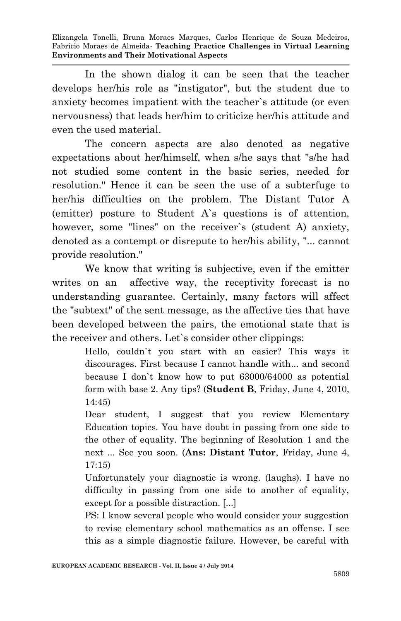In the shown dialog it can be seen that the teacher develops her/his role as "instigator", but the student due to anxiety becomes impatient with the teacher`s attitude (or even nervousness) that leads her/him to criticize her/his attitude and even the used material.

The concern aspects are also denoted as negative expectations about her/himself, when s/he says that "s/he had not studied some content in the basic series, needed for resolution." Hence it can be seen the use of a subterfuge to her/his difficulties on the problem. The Distant Tutor A (emitter) posture to Student A`s questions is of attention, however, some "lines" on the receiver's (student A) anxiety, denoted as a contempt or disrepute to her/his ability, "... cannot provide resolution."

We know that writing is subjective, even if the emitter writes on an affective way, the receptivity forecast is no understanding guarantee. Certainly, many factors will affect the "subtext" of the sent message, as the affective ties that have been developed between the pairs, the emotional state that is the receiver and others. Let`s consider other clippings:

> Hello, couldn`t you start with an easier? This ways it discourages. First because I cannot handle with... and second because I don`t know how to put 63000/64000 as potential form with base 2. Any tips? (**Student B**, Friday, June 4, 2010, 14:45)

> Dear student, I suggest that you review Elementary Education topics. You have doubt in passing from one side to the other of equality. The beginning of Resolution 1 and the next ... See you soon. (**Ans: Distant Tutor**, Friday, June 4, 17:15)

> Unfortunately your diagnostic is wrong. (laughs). I have no difficulty in passing from one side to another of equality, except for a possible distraction. [...]

> PS: I know several people who would consider your suggestion to revise elementary school mathematics as an offense. I see this as a simple diagnostic failure. However, be careful with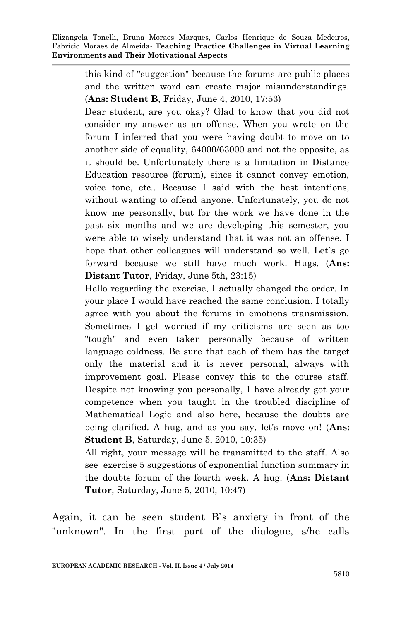this kind of "suggestion" because the forums are public places and the written word can create major misunderstandings. (**Ans: Student B**, Friday, June 4, 2010, 17:53)

Dear student, are you okay? Glad to know that you did not consider my answer as an offense. When you wrote on the forum I inferred that you were having doubt to move on to another side of equality, 64000/63000 and not the opposite, as it should be. Unfortunately there is a limitation in Distance Education resource (forum), since it cannot convey emotion, voice tone, etc.. Because I said with the best intentions, without wanting to offend anyone. Unfortunately, you do not know me personally, but for the work we have done in the past six months and we are developing this semester, you were able to wisely understand that it was not an offense. I hope that other colleagues will understand so well. Let`s go forward because we still have much work. Hugs. (**Ans: Distant Tutor**, Friday, June 5th, 23:15)

Hello regarding the exercise, I actually changed the order. In your place I would have reached the same conclusion. I totally agree with you about the forums in emotions transmission. Sometimes I get worried if my criticisms are seen as too "tough" and even taken personally because of written language coldness. Be sure that each of them has the target only the material and it is never personal, always with improvement goal. Please convey this to the course staff. Despite not knowing you personally, I have already got your competence when you taught in the troubled discipline of Mathematical Logic and also here, because the doubts are being clarified. A hug, and as you say, let's move on! (**Ans: Student B**, Saturday, June 5, 2010, 10:35)

All right, your message will be transmitted to the staff. Also see exercise 5 suggestions of exponential function summary in the doubts forum of the fourth week. A hug. (**Ans: Distant Tutor**, Saturday, June 5, 2010, 10:47)

Again, it can be seen student B`s anxiety in front of the "unknown". In the first part of the dialogue, s/he calls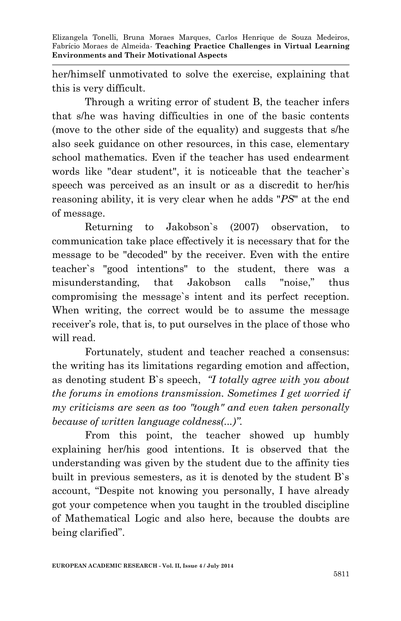her/himself unmotivated to solve the exercise, explaining that this is very difficult.

Through a writing error of student B, the teacher infers that s/he was having difficulties in one of the basic contents (move to the other side of the equality) and suggests that s/he also seek guidance on other resources, in this case, elementary school mathematics. Even if the teacher has used endearment words like "dear student", it is noticeable that the teacher`s speech was perceived as an insult or as a discredit to her/his reasoning ability, it is very clear when he adds "*PS*" at the end of message.

Returning to Jakobson`s (2007) observation, to communication take place effectively it is necessary that for the message to be "decoded" by the receiver. Even with the entire teacher`s "good intentions" to the student, there was a misunderstanding, that Jakobson calls "noise," thus compromising the message`s intent and its perfect reception. When writing, the correct would be to assume the message receiver's role, that is, to put ourselves in the place of those who will read.

Fortunately, student and teacher reached a consensus: the writing has its limitations regarding emotion and affection, as denoting student B`s speech, *"I totally agree with you about the forums in emotions transmission. Sometimes I get worried if my criticisms are seen as too "tough" and even taken personally because of written language coldness(...)".*

From this point, the teacher showed up humbly explaining her/his good intentions. It is observed that the understanding was given by the student due to the affinity ties built in previous semesters, as it is denoted by the student B`s account, "Despite not knowing you personally, I have already got your competence when you taught in the troubled discipline of Mathematical Logic and also here, because the doubts are being clarified".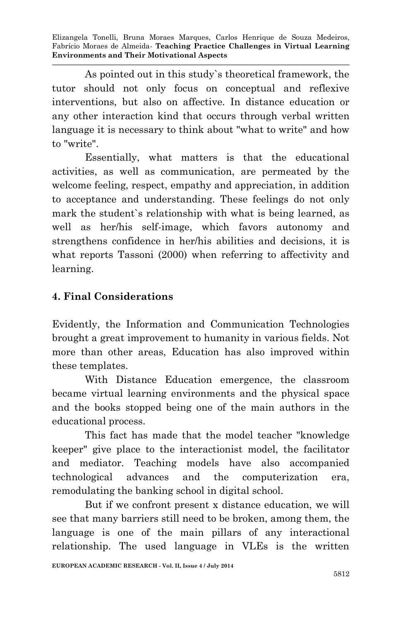As pointed out in this study`s theoretical framework, the tutor should not only focus on conceptual and reflexive interventions, but also on affective. In distance education or any other interaction kind that occurs through verbal written language it is necessary to think about "what to write" and how to "write".

Essentially, what matters is that the educational activities, as well as communication, are permeated by the welcome feeling, respect, empathy and appreciation, in addition to acceptance and understanding. These feelings do not only mark the student`s relationship with what is being learned, as well as her/his self-image, which favors autonomy and strengthens confidence in her/his abilities and decisions, it is what reports Tassoni (2000) when referring to affectivity and learning.

## **4. Final Considerations**

Evidently, the Information and Communication Technologies brought a great improvement to humanity in various fields. Not more than other areas, Education has also improved within these templates.

With Distance Education emergence, the classroom became virtual learning environments and the physical space and the books stopped being one of the main authors in the educational process.

This fact has made that the model teacher "knowledge keeper" give place to the interactionist model, the facilitator and mediator. Teaching models have also accompanied technological advances and the computerization era, remodulating the banking school in digital school.

But if we confront present x distance education, we will see that many barriers still need to be broken, among them, the language is one of the main pillars of any interactional relationship. The used language in VLEs is the written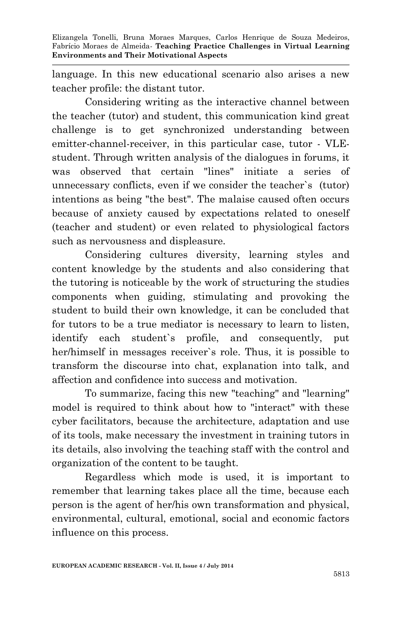language. In this new educational scenario also arises a new teacher profile: the distant tutor.

Considering writing as the interactive channel between the teacher (tutor) and student, this communication kind great challenge is to get synchronized understanding between emitter-channel-receiver, in this particular case, tutor - VLEstudent. Through written analysis of the dialogues in forums, it was observed that certain "lines" initiate a series of unnecessary conflicts, even if we consider the teacher`s (tutor) intentions as being "the best". The malaise caused often occurs because of anxiety caused by expectations related to oneself (teacher and student) or even related to physiological factors such as nervousness and displeasure.

Considering cultures diversity, learning styles and content knowledge by the students and also considering that the tutoring is noticeable by the work of structuring the studies components when guiding, stimulating and provoking the student to build their own knowledge, it can be concluded that for tutors to be a true mediator is necessary to learn to listen, identify each student`s profile, and consequently, put her/himself in messages receiver`s role. Thus, it is possible to transform the discourse into chat, explanation into talk, and affection and confidence into success and motivation.

To summarize, facing this new "teaching" and "learning" model is required to think about how to "interact" with these cyber facilitators, because the architecture, adaptation and use of its tools, make necessary the investment in training tutors in its details, also involving the teaching staff with the control and organization of the content to be taught.

Regardless which mode is used, it is important to remember that learning takes place all the time, because each person is the agent of her/his own transformation and physical, environmental, cultural, emotional, social and economic factors influence on this process.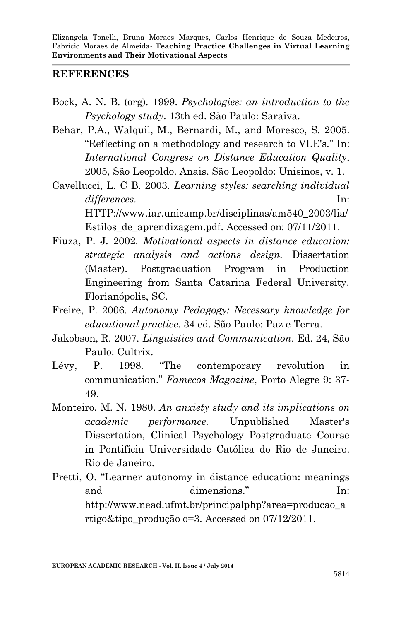#### **REFERENCES**

- Bock, A. N. B. (org). 1999. *Psychologies: an introduction to the Psychology study*. 13th ed. São Paulo: Saraiva.
- Behar, P.A., Walquil, M., Bernardi, M., and Moresco, S. 2005. "Reflecting on a methodology and research to VLE's." In: *International Congress on Distance Education Quality*, 2005, São Leopoldo. Anais. São Leopoldo: Unisinos, v. 1.
- Cavellucci, L. C B. 2003. *Learning styles: searching individual differences.* In: HTTP://www.iar.unicamp.br/disciplinas/am540\_2003/lia/ Estilos\_de\_aprendizagem.pdf. Accessed on: 07/11/2011.
- Fiuza, P. J. 2002. *Motivational aspects in distance education: strategic analysis and actions design.* Dissertation (Master). Postgraduation Program in Production Engineering from Santa Catarina Federal University. Florianópolis, SC.
- Freire, P. 2006. *Autonomy Pedagogy: Necessary knowledge for educational practice*. 34 ed. São Paulo: Paz e Terra.
- Jakobson, R. 2007. *Linguistics and Communication*. Ed. 24, São Paulo: Cultrix.
- Lévy, P. 1998. "The contemporary revolution in communication." *Famecos Magazine*, Porto Alegre 9: 37- 49.
- Monteiro, M. N. 1980. *An anxiety study and its implications on academic performance.* Unpublished Master's Dissertation, Clinical Psychology Postgraduate Course in Pontifícia Universidade Católica do Rio de Janeiro. Rio de Janeiro.
- Pretti, O. "Learner autonomy in distance education: meanings and dimensions." In: http://www.nead.ufmt.br/principalphp?area=producao\_a rtigo&tipo\_produção o=3. Accessed on 07/12/2011.